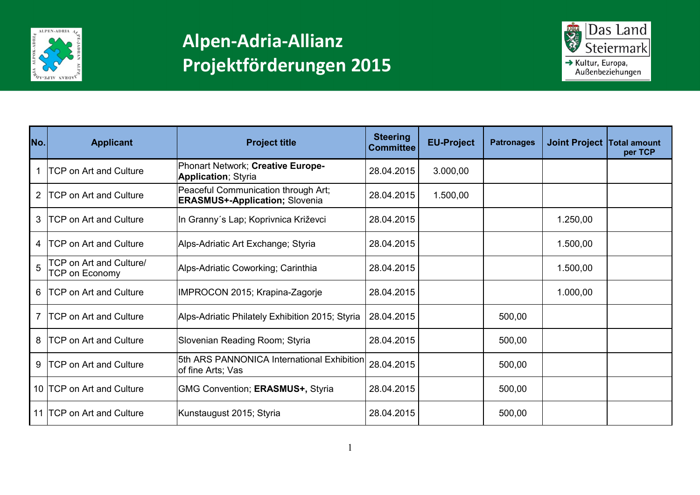



| No.          | <b>Applicant</b>                                 | <b>Project title</b>                                                         | <b>Steering</b><br><b>Committee</b> | <b>EU-Project</b> | <b>Patronages</b> | Joint Project Total amount | per TCP |
|--------------|--------------------------------------------------|------------------------------------------------------------------------------|-------------------------------------|-------------------|-------------------|----------------------------|---------|
|              | <b>TCP on Art and Culture</b>                    | Phonart Network; Creative Europe-<br><b>Application; Styria</b>              | 28.04.2015                          | 3.000,00          |                   |                            |         |
| $\mathbf{2}$ | <b>ITCP on Art and Culture</b>                   | Peaceful Communication through Art;<br><b>ERASMUS+-Application; Slovenia</b> | 28.04.2015                          | 1.500,00          |                   |                            |         |
| 3            | <b>ITCP on Art and Culture</b>                   | In Granny's Lap; Koprivnica Križevci                                         | 28.04.2015                          |                   |                   | 1.250,00                   |         |
| 4            | <b>TCP on Art and Culture</b>                    | Alps-Adriatic Art Exchange; Styria                                           | 28.04.2015                          |                   |                   | 1.500,00                   |         |
| 5            | TCP on Art and Culture/<br><b>TCP on Economy</b> | Alps-Adriatic Coworking; Carinthia                                           | 28.04.2015                          |                   |                   | 1.500,00                   |         |
|              | 6   TCP on Art and Culture                       | IMPROCON 2015; Krapina-Zagorje                                               | 28.04.2015                          |                   |                   | 1.000,00                   |         |
|              | 7 ITCP on Art and Culture                        | Alps-Adriatic Philately Exhibition 2015; Styria                              | 28.04.2015                          |                   | 500,00            |                            |         |
| 8            | <b>ITCP on Art and Culture</b>                   | Slovenian Reading Room; Styria                                               | 28.04.2015                          |                   | 500,00            |                            |         |
| 9            | <b>TCP on Art and Culture</b>                    | 5th ARS PANNONICA International Exhibition<br>of fine Arts; Vas              | 28.04.2015                          |                   | 500,00            |                            |         |
|              | 10 TCP on Art and Culture                        | GMG Convention; ERASMUS+, Styria                                             | 28.04.2015                          |                   | 500,00            |                            |         |
|              | 11   TCP on Art and Culture                      | Kunstaugust 2015; Styria                                                     | 28.04.2015                          |                   | 500,00            |                            |         |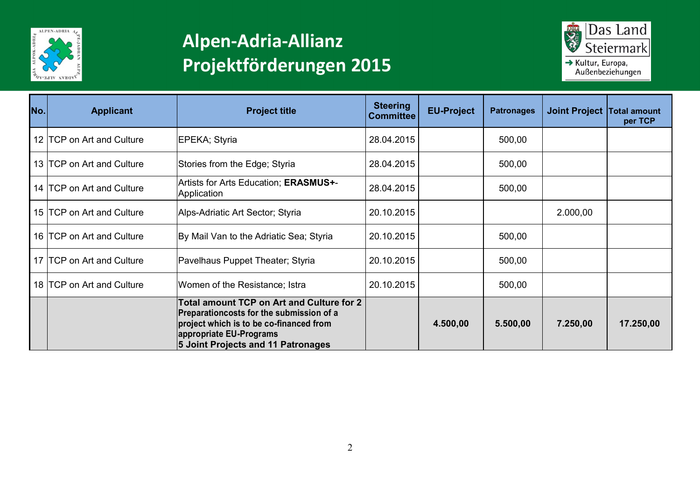



| No. | <b>Applicant</b>          | <b>Project title</b>                                                                                                                                                                              | <b>Steering</b><br><b>Committee</b> | <b>EU-Project</b> | <b>Patronages</b> | Joint Project Total amount | per TCP   |
|-----|---------------------------|---------------------------------------------------------------------------------------------------------------------------------------------------------------------------------------------------|-------------------------------------|-------------------|-------------------|----------------------------|-----------|
|     | 12 TCP on Art and Culture | EPEKA; Styria                                                                                                                                                                                     | 28.04.2015                          |                   | 500,00            |                            |           |
|     | 13 TCP on Art and Culture | Stories from the Edge; Styria                                                                                                                                                                     | 28.04.2015                          |                   | 500,00            |                            |           |
|     | 14 TCP on Art and Culture | Artists for Arts Education; ERASMUS+-<br>Application                                                                                                                                              | 28.04.2015                          |                   | 500,00            |                            |           |
|     | 15 TCP on Art and Culture | Alps-Adriatic Art Sector; Styria                                                                                                                                                                  | 20.10.2015                          |                   |                   | 2.000,00                   |           |
|     | 16 TCP on Art and Culture | By Mail Van to the Adriatic Sea; Styria                                                                                                                                                           | 20.10.2015                          |                   | 500,00            |                            |           |
|     | 17 TCP on Art and Culture | Pavelhaus Puppet Theater; Styria                                                                                                                                                                  | 20.10.2015                          |                   | 500,00            |                            |           |
|     | 18 TCP on Art and Culture | Women of the Resistance; Istra                                                                                                                                                                    | 20.10.2015                          |                   | 500,00            |                            |           |
|     |                           | Total amount TCP on Art and Culture for 2<br>Preparationcosts for the submission of a<br>project which is to be co-financed from<br>appropriate EU-Programs<br>5 Joint Projects and 11 Patronages |                                     | 4.500,00          | 5.500,00          | 7.250,00                   | 17.250,00 |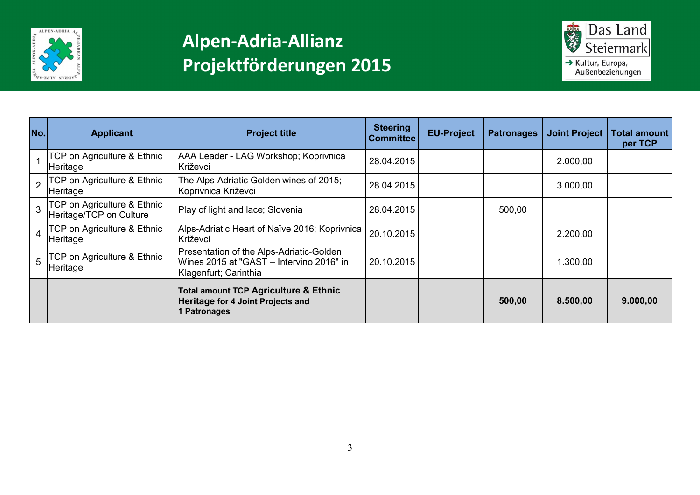



| No.              | <b>Applicant</b>                                                  | <b>Project title</b>                                                                                          | <b>Steering</b><br><b>Committee</b> | <b>EU-Project</b> | <b>Patronages</b> | <b>Joint Project</b> | Total amount<br>per TCP |
|------------------|-------------------------------------------------------------------|---------------------------------------------------------------------------------------------------------------|-------------------------------------|-------------------|-------------------|----------------------|-------------------------|
|                  | <b>TCP on Agriculture &amp; Ethnic</b><br>Heritage                | AAA Leader - LAG Workshop; Koprivnica<br>lKriževci                                                            | 28.04.2015                          |                   |                   | 2.000,00             |                         |
| $\overline{2}$   | TCP on Agriculture & Ethnic<br>Heritage                           | The Alps-Adriatic Golden wines of 2015;<br>Koprivnica Križevci                                                | 28.04.2015                          |                   |                   | 3.000,00             |                         |
|                  | <b>TCP on Agriculture &amp; Ethnic</b><br>Heritage/TCP on Culture | Play of light and lace; Slovenia                                                                              | 28.04.2015                          |                   | 500,00            |                      |                         |
| $\boldsymbol{4}$ | TCP on Agriculture & Ethnic<br>Heritage                           | Alps-Adriatic Heart of Naïve 2016; Koprivnica<br>Križevci                                                     | 20.10.2015                          |                   |                   | 2.200,00             |                         |
| $5^{\circ}$      | <b>TCP on Agriculture &amp; Ethnic</b><br>Heritage                | Presentation of the Alps-Adriatic-Golden<br>Wines 2015 at "GAST - Intervino 2016" in<br>Klagenfurt; Carinthia | 20.10.2015                          |                   |                   | 1.300,00             |                         |
|                  |                                                                   | Total amount TCP Agriculture & Ethnic<br>Heritage for 4 Joint Projects and<br>1 Patronages                    |                                     |                   | 500,00            | 8.500,00             | 9.000,00                |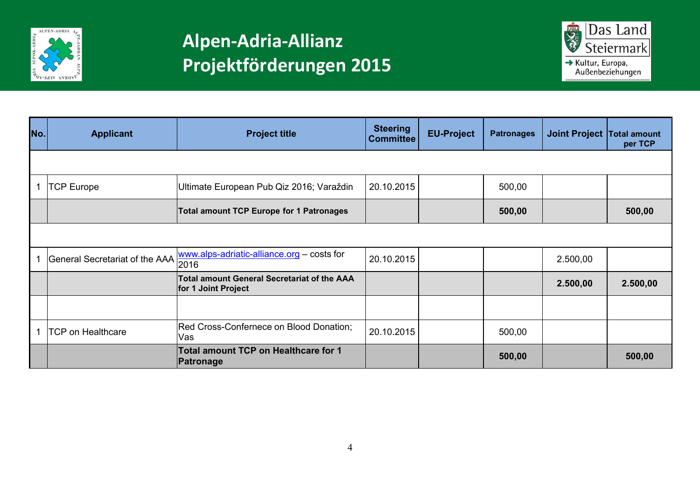



| No. | <b>Applicant</b>                    | <b>Project title</b>                                               | <b>Steering</b><br><b>Committee</b> | <b>EU-Project</b> | <b>Patronages</b> | Joint Project Total amount | per TCP  |
|-----|-------------------------------------|--------------------------------------------------------------------|-------------------------------------|-------------------|-------------------|----------------------------|----------|
|     |                                     |                                                                    |                                     |                   |                   |                            |          |
|     | <b>TCP Europe</b>                   | Ultimate European Pub Qiz 2016; Varaždin                           | 20.10.2015                          |                   | 500,00            |                            |          |
|     |                                     | <b>Total amount TCP Europe for 1 Patronages</b>                    |                                     |                   | 500,00            |                            | 500,00   |
|     |                                     |                                                                    |                                     |                   |                   |                            |          |
|     | General Secretariat of the AAA 2016 | www.alps-adriatic-alliance.org - costs for                         | 20.10.2015                          |                   |                   | 2.500,00                   |          |
|     |                                     | Total amount General Secretariat of the AAA<br>for 1 Joint Project |                                     |                   |                   | 2.500,00                   | 2.500,00 |
|     |                                     |                                                                    |                                     |                   |                   |                            |          |
|     | <b>TCP on Healthcare</b>            | Red Cross-Confernece on Blood Donation;<br>Vas                     | 20.10.2015                          |                   | 500,00            |                            |          |
|     |                                     | Total amount TCP on Healthcare for 1<br>Patronage                  |                                     |                   | 500,00            |                            | 500,00   |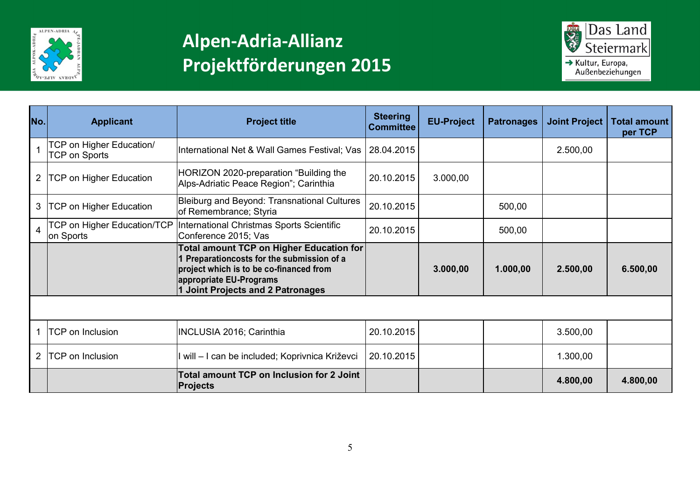



| No. | <b>Applicant</b>                                 | <b>Project title</b>                                                                                                                                                                                     | <b>Steering</b><br><b>Committee</b> | <b>EU-Project</b> | <b>Patronages</b> | <b>Joint Project</b> | Total amount<br>per TCP |
|-----|--------------------------------------------------|----------------------------------------------------------------------------------------------------------------------------------------------------------------------------------------------------------|-------------------------------------|-------------------|-------------------|----------------------|-------------------------|
|     | TCP on Higher Education/<br><b>TCP on Sports</b> | International Net & Wall Games Festival; Vas                                                                                                                                                             | 28.04.2015                          |                   |                   | 2.500,00             |                         |
|     | <b>TCP on Higher Education</b>                   | HORIZON 2020-preparation "Building the<br>Alps-Adriatic Peace Region"; Carinthia                                                                                                                         | 20.10.2015                          | 3.000,00          |                   |                      |                         |
| 3   | <b>TCP on Higher Education</b>                   | Bleiburg and Beyond: Transnational Cultures<br>of Remembrance; Styria                                                                                                                                    | 20.10.2015                          |                   | 500,00            |                      |                         |
| 4   | <b>TCP on Higher Education/TCP</b><br>on Sports  | International Christmas Sports Scientific<br>Conference 2015; Vas                                                                                                                                        | 20.10.2015                          |                   | 500,00            |                      |                         |
|     |                                                  | Total amount TCP on Higher Education for<br>1 Preparationcosts for the submission of a<br>project which is to be co-financed from<br>appropriate EU-Programs<br><b>1 Joint Projects and 2 Patronages</b> |                                     | 3.000,00          | 1.000,00          | 2.500,00             | 6.500,00                |
|     |                                                  |                                                                                                                                                                                                          |                                     |                   |                   |                      |                         |
|     | <b>TCP on Inclusion</b>                          | <b>INCLUSIA 2016; Carinthia</b>                                                                                                                                                                          | 20.10.2015                          |                   |                   | 3.500,00             |                         |
|     | <b>TCP</b> on Inclusion                          | will – I can be included; Koprivnica Križevci                                                                                                                                                            | 20.10.2015                          |                   |                   | 1.300,00             |                         |
|     |                                                  | <b>Total amount TCP on Inclusion for 2 Joint</b><br><b>Projects</b>                                                                                                                                      |                                     |                   |                   | 4.800,00             | 4.800,00                |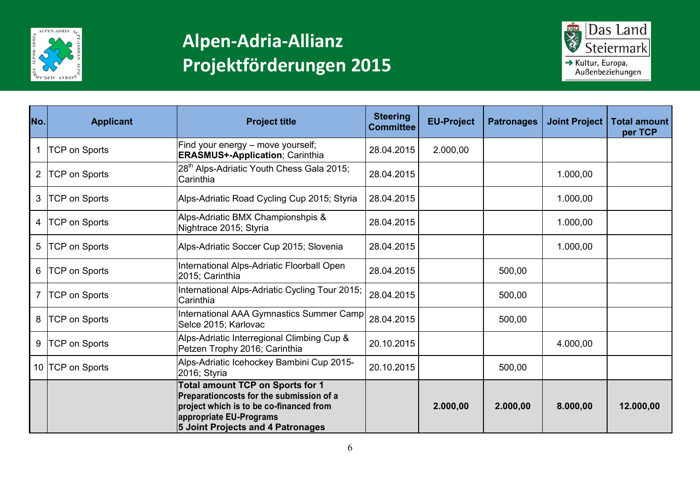



| No.            | <b>Applicant</b>     | <b>Project title</b>                                                                                                                                                                           | <b>Steering</b><br><b>Committee</b> | <b>EU-Project</b> | <b>Patronages</b> | <b>Joint Project</b> | <b>Total amount</b><br>per TCP |
|----------------|----------------------|------------------------------------------------------------------------------------------------------------------------------------------------------------------------------------------------|-------------------------------------|-------------------|-------------------|----------------------|--------------------------------|
|                | <b>TCP on Sports</b> | Find your energy – move yourself;<br><b>ERASMUS+-Application; Carinthia</b>                                                                                                                    | 28.04.2015                          | 2.000,00          |                   |                      |                                |
| $\overline{2}$ | <b>TCP on Sports</b> | 28 <sup>th</sup> Alps-Adriatic Youth Chess Gala 2015;<br>Carinthia                                                                                                                             | 28.04.2015                          |                   |                   | 1.000,00             |                                |
| 3              | <b>TCP on Sports</b> | Alps-Adriatic Road Cycling Cup 2015; Styria                                                                                                                                                    | 28.04.2015                          |                   |                   | 1.000,00             |                                |
| 4              | <b>TCP on Sports</b> | Alps-Adriatic BMX Championshpis &<br>Nightrace 2015; Styria                                                                                                                                    | 28.04.2015                          |                   |                   | 1.000,00             |                                |
| 5              | <b>TCP on Sports</b> | Alps-Adriatic Soccer Cup 2015; Slovenia                                                                                                                                                        | 28.04.2015                          |                   |                   | 1.000,00             |                                |
| 6              | <b>TCP on Sports</b> | International Alps-Adriatic Floorball Open<br>2015; Carinthia                                                                                                                                  | 28.04.2015                          |                   | 500,00            |                      |                                |
|                | <b>TCP on Sports</b> | International Alps-Adriatic Cycling Tour 2015;<br>Carinthia                                                                                                                                    | 28.04.2015                          |                   | 500,00            |                      |                                |
| 8              | <b>TCP on Sports</b> | International AAA Gymnastics Summer Camp<br>Selce 2015; Karlovac                                                                                                                               | 28.04.2015                          |                   | 500,00            |                      |                                |
| 9              | <b>TCP on Sports</b> | Alps-Adriatic Interregional Climbing Cup &<br>Petzen Trophy 2016; Carinthia                                                                                                                    | 20.10.2015                          |                   |                   | 4.000,00             |                                |
|                | 10 TCP on Sports     | Alps-Adriatic Icehockey Bambini Cup 2015-<br>2016; Styria                                                                                                                                      | 20.10.2015                          |                   | 500,00            |                      |                                |
|                |                      | <b>Total amount TCP on Sports for 1</b><br>Preparationcosts for the submission of a<br>project which is to be co-financed from<br>appropriate EU-Programs<br>5 Joint Projects and 4 Patronages |                                     | 2.000,00          | 2.000,00          | 8.000,00             | 12.000,00                      |